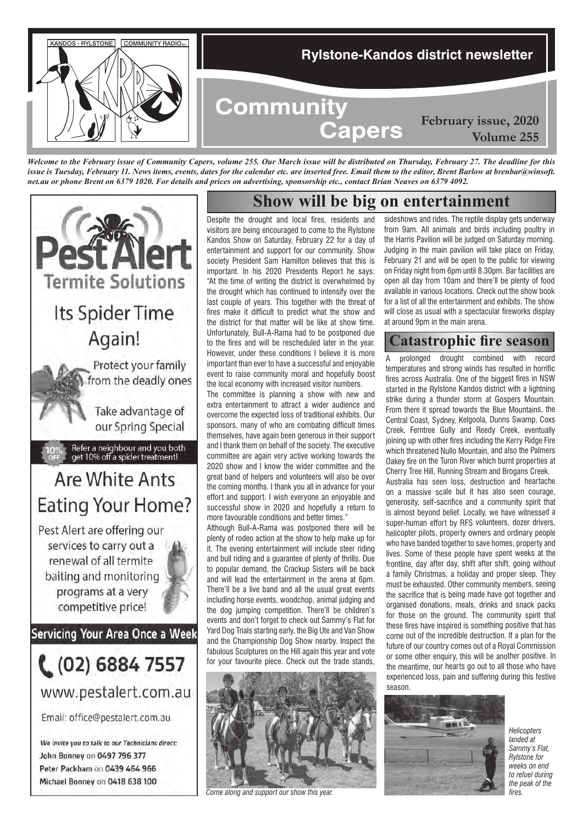

*Welcome to the February issue of Community Capers, volume 255. Our March issue will be distributed on Thursday, February 27. The deadline for this issue is Tuesday, February 11. News items, events, dates for the calendar etc. are inserted free. Email them to the editor, Brent Barlow at brenbar@winsoft. net.au or phone Brent on 6379 1020. For details and prices on advertising, sponsorship etc., contact Brian Neaves on 6379 4092.*



### **Show will be big on entertainment**

Despite the drought and local fires, residents and visitors are being encouraged to come to the Rylstone Kandos Show on Saturday, February 22 for a day of entertainment and support for our community. Show society President Sam Hamilton believes that this is important. In his 2020 Presidents Report he says: "At the time of writing the district is overwhelmed by the drought which has continued to intensify over the last couple of years. This together with the threat of fires make it difficult to predict what the show and the district for that matter will be like at show time. Unfortunately, Bull-A-Rama had to be postponed due to the fires and will be rescheduled later in the year. However, under these conditions I believe it is more important than ever to have a successful and enjoyable event to raise community moral and hopefully boost the local economy with increased visitor numbers.

The committee is planning a show with new and extra entertainment to attract a wider audience and overcome the expected loss of traditional exhibits. Our sponsors, many of who are combating difficult times themselves, have again been generous in their support and I thank them on behalf of the society. The executive committee are again very active working towards the 2020 show and I know the wider committee and the great band of helpers and volunteers will also be over the coming months. I thank you all in advance for your effort and support. I wish everyone an enjoyable and successful show in 2020 and hopefully a return to more favourable conditions and better times."

Although Bull-A-Rama was postponed there will be plenty of rodeo action at the show to help make up for it. The evening entertainment will include steer riding and bull riding and a guarantee of plenty of thrills. Due to popular demand, the Crackup Sisters will be back and will lead the entertainment in the arena at 6pm. There'll be a live band and all the usual great events including horse events, woodchop, animal judging and the dog jumping competition. There'll be children's events and don't forget to check out Sammy's Flat for Yard Dog Trials starting early, the Big Ute and Van Show and the Championship Dog Show nearby. Inspect the fabulous Sculptures on the Hill again this year and vote for your favourite piece. Check out the trade stands,



*Come along and support our show this year.*

sideshows and rides. The reptile display gets underway from 9am. All animals and birds including poultry in the Harris Pavilion will be judged on Saturday morning. Judging in the main pavilion will take place on Friday, February 21 and will be open to the public for viewing on Friday night from 6pm until 8.30pm. Bar facilities are open all day from 10am and there'll be plenty of food available in various locations. Check out the show book for a list of all the entertainment and exhibits. The show will close as usual with a spectacular fireworks display at around 9pm in the main arena.

**Volume 255**

#### **Catastrophic fire season**

A prolonged drought combined with record temperatures and strong winds has resulted in horrific fires across Australia. One of the biggest fires in NSW started in the Rylstone Kandos district with a lightning strike during a thunder storm at Gospers Mountain. From there it spread towards the Blue Mountains, the Central Coast, Sydney, Kelgoola, Dunns Swamp, Coxs Creek, Ferntree Gully and Reedy Creek, eventually joining up with other fires including the Kerry Ridge Fire which threatened Nullo Mountain, and also the Palmers Oakey fire on the Turon River which burnt properties at Cherry Tree Hill, Running Stream and Brogans Creek. Australia has seen loss, destruction and heartache on a massive scale but it has also seen courage, generosity, self-sacrifice and a community spirit that is almost beyond belief. Locally, we have witnessed a super-human effort by RFS volunteers, dozer drivers, helicopter pilots, property owners and ordinary people who have banded together to save homes, property and lives. Some of these people have spent weeks at the frontline, day after day, shift after shift, going without a family Christmas, a holiday and proper sleep. They must be exhausted. Other community members, seeing the sacrifice that is being made have got together and organised donations, meals, drinks and snack packs for those on the ground. The community spirit that these fires have inspired is something positive that has come out of the incredible destruction. If a plan for the future of our country comes out of a Royal Commission or some other enquiry, this will be another positive. In the meantime, our hearts go out to all those who have experienced loss, pain and suffering during this festive season.



*Helicopters landed at Sammy's Flat, Rylstone for weeks on end to refuel during the peak of the fires.*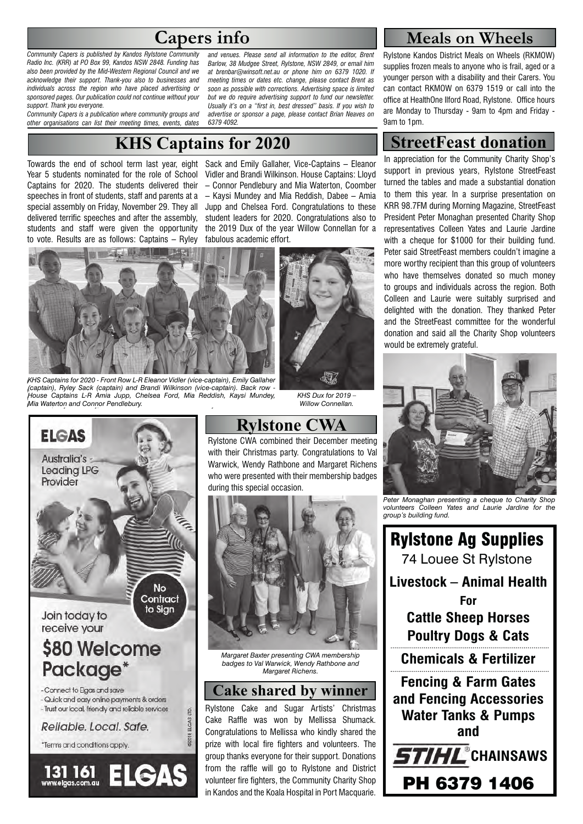# **Capers info**

*Community Capers is published by Kandos Rylstone Community Radio Inc. (KRR) at PO Box 99, Kandos NSW 2848. Funding has also been provided by the Mid-Western Regional Council and we acknowledge their support. Thank-you also to businesses and individuals across the region who have placed advertising or sponsored pages. Our publication could not continue without your support. Thank you everyone.* 

*Community Capers is a publication where community groups and other organisations can list their meeting times, events, dates* 

*and venues. Please send all information to the editor, Brent Barlow, 38 Mudgee Street, Rylstone, NSW 2849, or email him at brenbar@winsoft.net.au or phone him on 6379 1020. If meeting times or dates etc. change, please contact Brent as soon as possible with corrections. Advertising space is limited but we do require advertising support to fund our newsletter. Usually it's on a "first in, best dressed" basis. If you wish to advertise or sponsor a page, please contact Brian Neaves on 6379 4092.*

# **KHS Captains for 2020**

Towards the end of school term last year, eight Year 5 students nominated for the role of School Captains for 2020. The students delivered their speeches in front of students, staff and parents at a special assembly on Friday, November 29. They all delivered terrific speeches and after the assembly, students and staff were given the opportunity to vote. Results are as follows: Captains – Ryley

Sack and Emily Gallaher, Vice-Captains – Eleanor Vidler and Brandi Wilkinson. House Captains: Lloyd – Connor Pendlebury and Mia Waterton, Coomber – Kaysi Mundey and Mia Reddish, Dabee – Amia Jupp and Chelsea Ford. Congratulations to these student leaders for 2020. Congratulations also to the 2019 Dux of the year Willow Connellan for a fabulous academic effort.



*Pic KPSCapAllGroups1: KHS Captains for 2020 - Front Row L-R Eleanor Vidler KHS Captains for 2020 - Front Row L-R Eleanor Vidler (vice-captain), Emily Gallaher (vice-captain), Emily Gallaher (captain), Ryley Sack (captain) and Brandi Wilkinson (captain), Ryley Sack (captain) and Brandi Wilkinson (vice-captain). Back row - (vice-captain). Back row - House Captains L-R Amia Jupp, Chelsea Ford, Mia House Captains L-R Amia Jupp, Chelsea Ford, Mia Reddish, Kaysi Mundey, Reddish, Kaysi Mundey, Mia Waterton and Connor Pendlebury. Mia Waterton and Connor Pendlebury.*



## **Rylstone CWA**

*KHS Dux for 2019 – Willow Connellan.*

Rylstone CWA combined their December meeting with their Christmas party. Congratulations to Val Warwick, Wendy Rathbone and Margaret Richens who were presented with their membership badges during this special occasion.



*Margaret Baxter presenting CWA membership badges to Val Warwick, Wendy Rathbone and Margaret Richens.*

#### **Cake shared by winner**

Rylstone Cake and Sugar Artists' Christmas Cake Raffle was won by Mellissa Shumack. Congratulations to Mellissa who kindly shared the prize with local fire fighters and volunteers. The group thanks everyone for their support. Donations from the raffle will go to Rylstone and District volunteer fire fighters, the Community Charity Shop in Kandos and the Koala Hospital in Port Macquarie.

#### **Meals on Wheels**

Rylstone Kandos District Meals on Wheels (RKMOW) supplies frozen meals to anyone who is frail, aged or a younger person with a disability and their Carers. You can contact RKMOW on 6379 1519 or call into the office at HealthOne Ilford Road, Rylstone. Office hours are Monday to Thursday - 9am to 4pm and Friday - 9am to 1pm.

## **StreetFeast donation**

In appreciation for the Community Charity Shop's support in previous years, Rylstone StreetFeast turned the tables and made a substantial donation to them this year. In a surprise presentation on KRR 98.7FM during Morning Magazine, StreetFeast President Peter Monaghan presented Charity Shop representatives Colleen Yates and Laurie Jardine with a cheque for \$1000 for their building fund. Peter said StreetFeast members couldn't imagine a more worthy recipient than this group of volunteers who have themselves donated so much money to groups and individuals across the region. Both Colleen and Laurie were suitably surprised and delighted with the donation. They thanked Peter and the StreetFeast committee for the wonderful donation and said all the Charity Shop volunteers would be extremely grateful.



*Peter Monaghan presenting a cheque to Charity Shop volunteers Colleen Yates and Laurie Jardine for the group's building fund.*

Rylstone Ag Supplies 74 Louee St Rylstone **Livestock – Animal Health For Cattle Sheep Horses Poultry Dogs & Cats Chemicals & Fertilizer Fencing & Farm Gates and Fencing Accessories Water Tanks & Pumps and STIHL** CHAINSAWS PH 6379 1406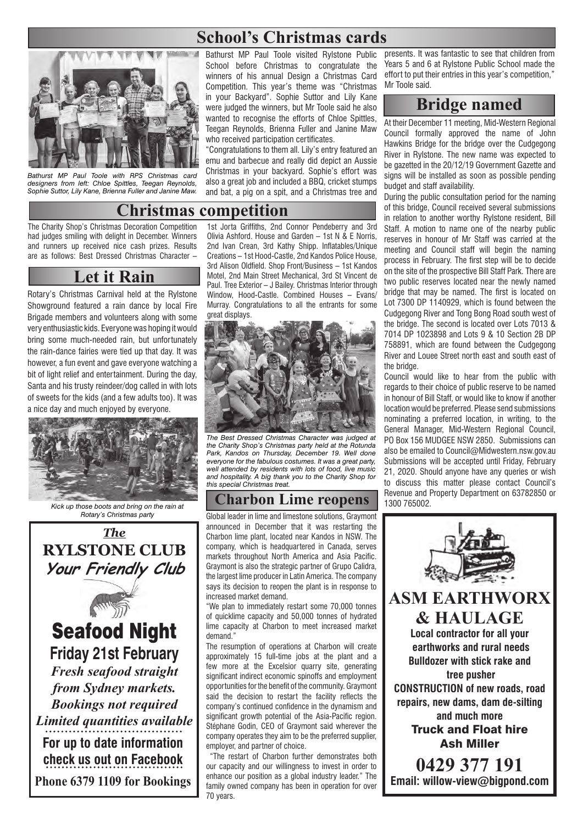# **School's Christmas cards**



*Bathurst MP Paul Toole with RPS Christmas card designers from left: Chloe Spittles, Teegan Reynolds, Sophie Suttor, Lily Kane, Brienna Fuller and Janine Maw.*

Bathurst MP Paul Toole visited Rylstone Public School before Christmas to congratulate the winners of his annual Design a Christmas Card Competition. This year's theme was "Christmas in your Backyard". Sophie Suttor and Lily Kane were judged the winners, but Mr Toole said he also wanted to recognise the efforts of Chloe Spittles. Teegan Reynolds, Brienna Fuller and Janine Maw who received participation certificates.

"Congratulations to them all. Lily's entry featured an emu and barbecue and really did depict an Aussie Christmas in your backyard. Sophie's effort was also a great job and included a BBQ, cricket stumps and bat, a pig on a spit, and a Christmas tree and

#### **Christmas competition**

The Charity Shop's Christmas Decoration Competition had judges smiling with delight in December. Winners and runners up received nice cash prizes. Results are as follows: Best Dressed Christmas Character –

### **Let it Rain**

Rotary's Christmas Carnival held at the Rylstone Showground featured a rain dance by local Fire Brigade members and volunteers along with some very enthusiastic kids. Everyone was hoping it would bring some much-needed rain, but unfortunately the rain-dance fairies were tied up that day. It was however, a fun event and gave everyone watching a bit of light relief and entertainment. During the day, Santa and his trusty reindeer/dog called in with lots of sweets for the kids (and a few adults too). It was a nice day and much enjoyed by everyone.



*Kick up those boots and bring on the rain at Rotary's Christmas party*

*The* **RYLSTONE CLUB Your Friendly Club**



**Friday 21st February** *Fresh seafood straight from Sydney markets. Bookings not required Limited quantities available* **For up to date information check us out on Facebook Phone 6379 1109 for Bookings**

1st Jorta Griffiths, 2nd Connor Pendeberry and 3rd Olivia Ashford. House and Garden – 1st N & E Norris, 2nd Ivan Crean, 3rd Kathy Shipp. Inflatables/Unique Creations – 1st Hood-Castle, 2nd Kandos Police House, 3rd Alison Oldfield. Shop Front/Business – 1st Kandos Motel, 2nd Main Street Mechanical, 3rd St Vincent de Paul. Tree Exterior – J Bailey. Christmas Interior through Window, Hood-Castle. Combined Houses – Evans/ Murray. Congratulations to all the entrants for some great displays.



*The Best Dressed Christmas Character was judged at the Charity Shop's Christmas party held at the Rotunda Park, Kandos on Thursday, December 19. Well done everyone for the fabulous costumes. It was a great party, well attended by residents with lots of food, live music and hospitality. A big thank you to the Charity Shop for this special Christmas treat.*

## **Charbon Lime reopens**

Global leader in lime and limestone solutions, Graymont announced in December that it was restarting the Charbon lime plant, located near Kandos in NSW. The company, which is headquartered in Canada, serves markets throughout North America and Asia Pacific. Graymont is also the strategic partner of Grupo Calidra, the largest lime producer in Latin America. The company says its decision to reopen the plant is in response to increased market demand.

"We plan to immediately restart some 70,000 tonnes of quicklime capacity and 50,000 tonnes of hydrated lime capacity at Charbon to meet increased market demand."

The resumption of operations at Charbon will create approximately 15 full-time jobs at the plant and a few more at the Excelsior quarry site, generating significant indirect economic spinoffs and employment opportunities for the benefit of the community. Graymont said the decision to restart the facility reflects the company's continued confidence in the dynamism and significant growth potential of the Asia-Pacific region. Stéphane Godin, CEO of Graymont said wherever the company operates they aim to be the preferred supplier, employer, and partner of choice.

 "The restart of Charbon further demonstrates both our capacity and our willingness to invest in order to enhance our position as a global industry leader." The family owned company has been in operation for over 70 years.

presents. It was fantastic to see that children from Years 5 and 6 at Rylstone Public School made the effort to put their entries in this year's competition," Mr Toole said.

### **Bridge named**

At their December 11 meeting, Mid-Western Regional Council formally approved the name of John Hawkins Bridge for the bridge over the Cudgegong River in Rylstone. The new name was expected to be gazetted in the 20/12/19 Government Gazette and signs will be installed as soon as possible pending budget and staff availability.

During the public consultation period for the naming of this bridge, Council received several submissions in relation to another worthy Rylstone resident, Bill Staff. A motion to name one of the nearby public reserves in honour of Mr Staff was carried at the meeting and Council staff will begin the naming process in February. The first step will be to decide on the site of the prospective Bill Staff Park. There are two public reserves located near the newly named bridge that may be named. The first is located on Lot 7300 DP 1140929, which is found between the Cudgegong River and Tong Bong Road south west of the bridge. The second is located over Lots 7013 & 7014 DP 1023898 and Lots 9 & 10 Section 2B DP 758891, which are found between the Cudgegong River and Louee Street north east and south east of the bridge.

Council would like to hear from the public with regards to their choice of public reserve to be named in honour of Bill Staff, or would like to know if another location would be preferred. Please send submissions nominating a preferred location, in writing, to the General Manager, Mid-Western Regional Council, PO Box 156 MUDGEE NSW 2850. Submissions can also be emailed to Council@Midwestern.nsw.gov.au Submissions will be accepted until Friday, February 21, 2020. Should anyone have any queries or wish to discuss this matter please contact Council's Revenue and Property Department on 63782850 or 1300 765002.